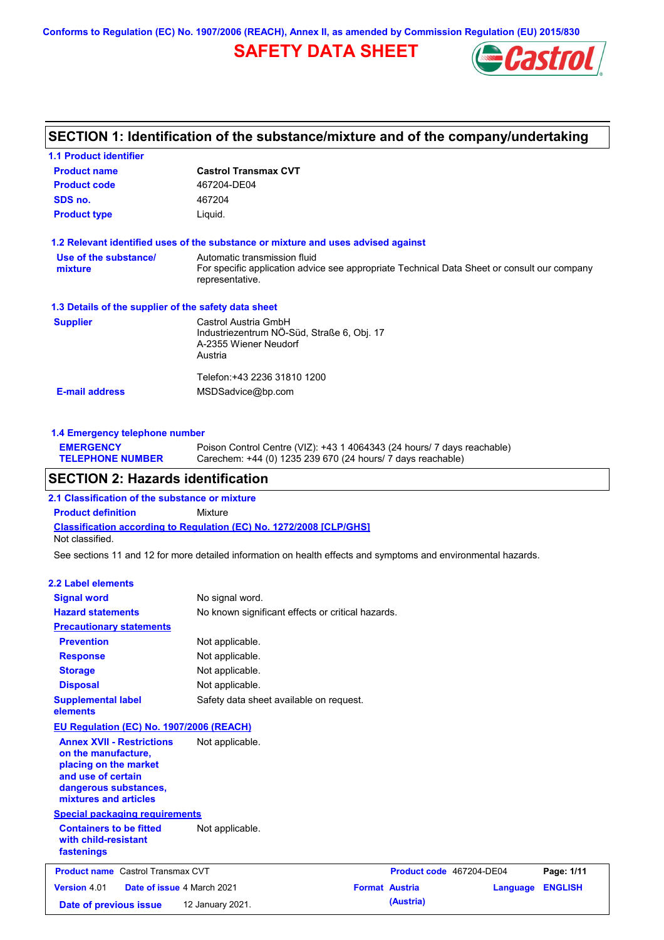**Conforms to Regulation (EC) No. 1907/2006 (REACH), Annex II, as amended by Commission Regulation (EU) 2015/830**

## **SAFETY DATA SHEET**



## **SECTION 1: Identification of the substance/mixture and of the company/undertaking**

| <b>Castrol Transmax CVT</b><br>1.2 Relevant identified uses of the substance or mixture and uses advised against            |
|-----------------------------------------------------------------------------------------------------------------------------|
|                                                                                                                             |
|                                                                                                                             |
|                                                                                                                             |
|                                                                                                                             |
|                                                                                                                             |
| Automatic transmission fluid<br>For specific application advice see appropriate Technical Data Sheet or consult our company |
| 1.3 Details of the supplier of the safety data sheet                                                                        |
| Castrol Austria GmbH<br>Industriezentrum NÖ-Süd, Straße 6, Obj. 17<br>A-2355 Wiener Neudorf                                 |
|                                                                                                                             |
|                                                                                                                             |

#### **1.4 Emergency telephone number**

| <b>EMERGENCY</b>        | Poison Control Centre (VIZ): +43 1 4064343 (24 hours/ 7 days reachable) |
|-------------------------|-------------------------------------------------------------------------|
| <b>TELEPHONE NUMBER</b> | Carechem: +44 (0) 1235 239 670 (24 hours/ 7 days reachable)             |

## **SECTION 2: Hazards identification**

**Classification according to Regulation (EC) No. 1272/2008 [CLP/GHS] 2.1 Classification of the substance or mixture Product definition** Mixture

Not classified.

See sections 11 and 12 for more detailed information on health effects and symptoms and environmental hazards.

#### **2.2 Label elements**

| <b>Signal word</b>                                                                                                                                       | No signal word.                                   |                       |                          |          |                |
|----------------------------------------------------------------------------------------------------------------------------------------------------------|---------------------------------------------------|-----------------------|--------------------------|----------|----------------|
| <b>Hazard statements</b>                                                                                                                                 | No known significant effects or critical hazards. |                       |                          |          |                |
| <b>Precautionary statements</b>                                                                                                                          |                                                   |                       |                          |          |                |
| <b>Prevention</b>                                                                                                                                        | Not applicable.                                   |                       |                          |          |                |
| <b>Response</b>                                                                                                                                          | Not applicable.                                   |                       |                          |          |                |
| <b>Storage</b>                                                                                                                                           | Not applicable.                                   |                       |                          |          |                |
| <b>Disposal</b>                                                                                                                                          | Not applicable.                                   |                       |                          |          |                |
| <b>Supplemental label</b><br>elements                                                                                                                    | Safety data sheet available on request.           |                       |                          |          |                |
| <b>EU Regulation (EC) No. 1907/2006 (REACH)</b>                                                                                                          |                                                   |                       |                          |          |                |
| <b>Annex XVII - Restrictions</b><br>on the manufacture,<br>placing on the market<br>and use of certain<br>dangerous substances,<br>mixtures and articles | Not applicable.                                   |                       |                          |          |                |
| <b>Special packaging requirements</b>                                                                                                                    |                                                   |                       |                          |          |                |
| <b>Containers to be fitted</b><br>with child-resistant<br>fastenings                                                                                     | Not applicable.                                   |                       |                          |          |                |
| <b>Product name</b> Castrol Transmax CVT                                                                                                                 |                                                   |                       | Product code 467204-DE04 |          | Page: 1/11     |
| Version 4.01<br>Date of issue 4 March 2021                                                                                                               |                                                   | <b>Format Austria</b> |                          | Language | <b>ENGLISH</b> |
| Date of previous issue                                                                                                                                   | 12 January 2021.                                  |                       | (Austria)                |          |                |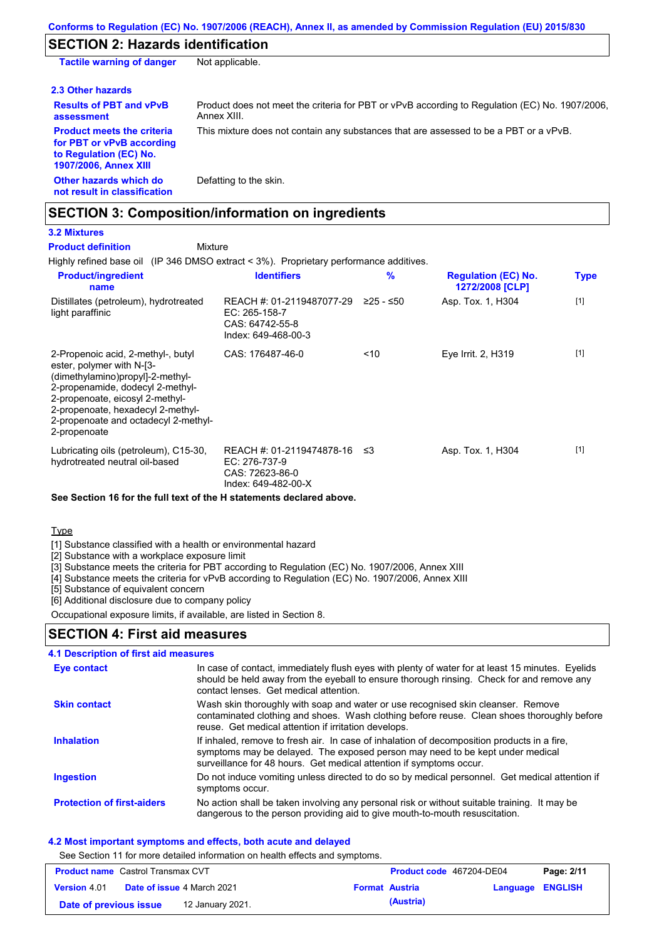## **SECTION 2: Hazards identification**

| <b>Tactile warning of danger</b>                                                                                         | Not applicable.                                                                                               |
|--------------------------------------------------------------------------------------------------------------------------|---------------------------------------------------------------------------------------------------------------|
| 2.3 Other hazards                                                                                                        |                                                                                                               |
| <b>Results of PBT and vPvB</b><br>assessment                                                                             | Product does not meet the criteria for PBT or vPvB according to Regulation (EC) No. 1907/2006.<br>Annex XIII. |
| <b>Product meets the criteria</b><br>for PBT or vPvB according<br>to Regulation (EC) No.<br><b>1907/2006, Annex XIII</b> | This mixture does not contain any substances that are assessed to be a PBT or a vPvB.                         |
| Other hazards which do<br>not result in classification                                                                   | Defatting to the skin.                                                                                        |

## **SECTION 3: Composition/information on ingredients**

## **3.2 Mixtures**

**Product definition**

Mixture

Highly refined base oil (IP 346 DMSO extract < 3%). Proprietary performance additives.

| <b>Product/ingredient</b><br>name                                                                                                                                                                                                                                       | <b>Identifiers</b>                                                                     | $\%$        | <b>Regulation (EC) No.</b><br>1272/2008 [CLP] | <b>Type</b> |
|-------------------------------------------------------------------------------------------------------------------------------------------------------------------------------------------------------------------------------------------------------------------------|----------------------------------------------------------------------------------------|-------------|-----------------------------------------------|-------------|
| Distillates (petroleum), hydrotreated<br>light paraffinic                                                                                                                                                                                                               | REACH #: 01-2119487077-29<br>$EC: 265-158-7$<br>CAS: 64742-55-8<br>Index: 649-468-00-3 | $≥25 - ≤50$ | Asp. Tox. 1, H304                             | $[1]$       |
| 2-Propenoic acid, 2-methyl-, butyl<br>ester, polymer with N-[3-<br>(dimethylamino)propyl]-2-methyl-<br>2-propenamide, dodecyl 2-methyl-<br>2-propenoate, eicosyl 2-methyl-<br>2-propenoate, hexadecyl 2-methyl-<br>2-propenoate and octadecyl 2-methyl-<br>2-propenoate | CAS: 176487-46-0                                                                       | < 10        | Eye Irrit. 2, H319                            | $[1]$       |
| Lubricating oils (petroleum), C15-30,<br>hydrotreated neutral oil-based                                                                                                                                                                                                 | REACH #: 01-2119474878-16<br>EC: 276-737-9<br>CAS: 72623-86-0<br>Index: 649-482-00-X   | ב≥          | Asp. Tox. 1, H304                             | $[1]$       |

#### **See Section 16 for the full text of the H statements declared above.**

Type

[1] Substance classified with a health or environmental hazard

[2] Substance with a workplace exposure limit

[3] Substance meets the criteria for PBT according to Regulation (EC) No. 1907/2006, Annex XIII

[4] Substance meets the criteria for vPvB according to Regulation (EC) No. 1907/2006, Annex XIII

[5] Substance of equivalent concern

[6] Additional disclosure due to company policy

Occupational exposure limits, if available, are listed in Section 8.

## **SECTION 4: First aid measures**

#### Do not induce vomiting unless directed to do so by medical personnel. Get medical attention if symptoms occur. In case of contact, immediately flush eyes with plenty of water for at least 15 minutes. Eyelids should be held away from the eyeball to ensure thorough rinsing. Check for and remove any contact lenses. Get medical attention. **4.1 Description of first aid measures** If inhaled, remove to fresh air. In case of inhalation of decomposition products in a fire, symptoms may be delayed. The exposed person may need to be kept under medical surveillance for 48 hours. Get medical attention if symptoms occur. **Ingestion Inhalation Eye contact Protection of first-aiders** No action shall be taken involving any personal risk or without suitable training. It may be dangerous to the person providing aid to give mouth-to-mouth resuscitation. **Skin contact** Wash skin thoroughly with soap and water or use recognised skin cleanser. Remove contaminated clothing and shoes. Wash clothing before reuse. Clean shoes thoroughly before reuse. Get medical attention if irritation develops.

#### **4.2 Most important symptoms and effects, both acute and delayed**

See Section 11 for more detailed information on health effects and symptoms.

| <b>Product name</b> Castrol Transmax CVT |                                   | Product code 467204-DE04 |                         | Page: 2/11 |
|------------------------------------------|-----------------------------------|--------------------------|-------------------------|------------|
| <b>Version 4.01</b>                      | <b>Date of issue 4 March 2021</b> | <b>Format Austria</b>    | <b>Language ENGLISH</b> |            |
| Date of previous issue                   | 12 January 2021.                  | (Austria)                |                         |            |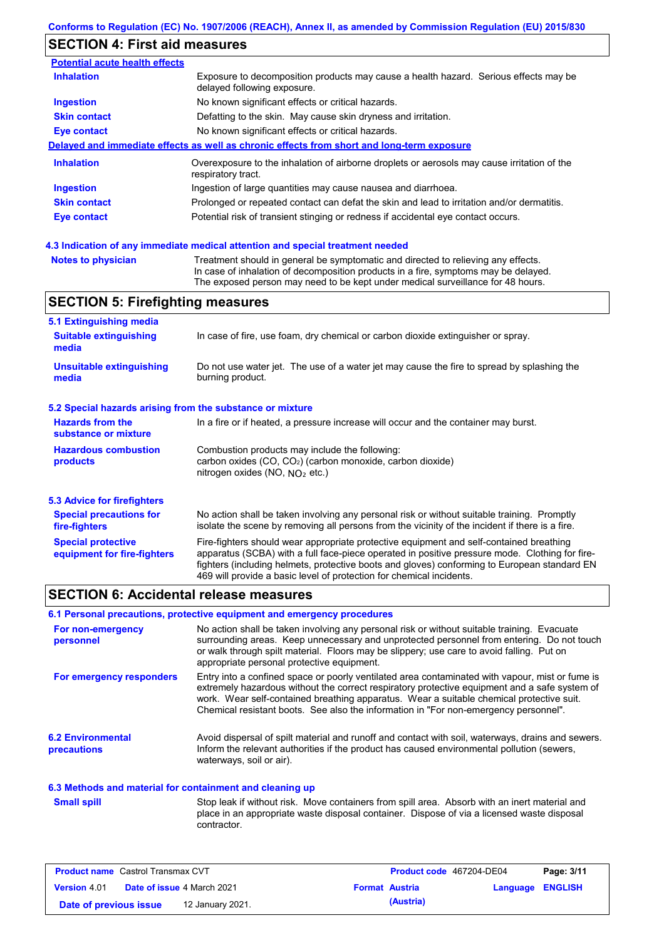## **SECTION 4: First aid measures**

| <b>Potential acute health effects</b> |                                                                                                                     |
|---------------------------------------|---------------------------------------------------------------------------------------------------------------------|
| <b>Inhalation</b>                     | Exposure to decomposition products may cause a health hazard. Serious effects may be<br>delayed following exposure. |
| <b>Ingestion</b>                      | No known significant effects or critical hazards.                                                                   |
| <b>Skin contact</b>                   | Defatting to the skin. May cause skin dryness and irritation.                                                       |
| <b>Eye contact</b>                    | No known significant effects or critical hazards.                                                                   |
|                                       | Delayed and immediate effects as well as chronic effects from short and long-term exposure                          |
| <b>Inhalation</b>                     | Overexposure to the inhalation of airborne droplets or aerosols may cause irritation of the<br>respiratory tract.   |
| Ingestion                             | Ingestion of large quantities may cause nausea and diarrhoea.                                                       |
| <b>Skin contact</b>                   | Prolonged or repeated contact can defat the skin and lead to irritation and/or dermatitis.                          |
| Eye contact                           | Potential risk of transient stinging or redness if accidental eye contact occurs.                                   |
|                                       |                                                                                                                     |

#### **4.3 Indication of any immediate medical attention and special treatment needed**

```
Notes to physician Treatment should in general be symptomatic and directed to relieving any effects.
                   In case of inhalation of decomposition products in a fire, symptoms may be delayed.
                   The exposed person may need to be kept under medical surveillance for 48 hours.
```
## **SECTION 5: Firefighting measures**

| 5.1 Extinguishing media                                                                                                    |                                                                                                                                                                                                                                                                                                                                                                   |  |  |  |
|----------------------------------------------------------------------------------------------------------------------------|-------------------------------------------------------------------------------------------------------------------------------------------------------------------------------------------------------------------------------------------------------------------------------------------------------------------------------------------------------------------|--|--|--|
| <b>Suitable extinguishing</b><br>In case of fire, use foam, dry chemical or carbon dioxide extinguisher or spray.<br>media |                                                                                                                                                                                                                                                                                                                                                                   |  |  |  |
| <b>Unsuitable extinguishing</b><br>media                                                                                   | Do not use water jet. The use of a water jet may cause the fire to spread by splashing the<br>burning product.                                                                                                                                                                                                                                                    |  |  |  |
| 5.2 Special hazards arising from the substance or mixture                                                                  |                                                                                                                                                                                                                                                                                                                                                                   |  |  |  |
| <b>Hazards from the</b><br>substance or mixture                                                                            | In a fire or if heated, a pressure increase will occur and the container may burst.                                                                                                                                                                                                                                                                               |  |  |  |
| <b>Hazardous combustion</b><br>products                                                                                    | Combustion products may include the following:<br>carbon oxides (CO, CO <sub>2</sub> ) (carbon monoxide, carbon dioxide)<br>nitrogen oxides (NO, $NO2$ etc.)                                                                                                                                                                                                      |  |  |  |
| 5.3 Advice for firefighters                                                                                                |                                                                                                                                                                                                                                                                                                                                                                   |  |  |  |
| <b>Special precautions for</b><br>fire-fighters                                                                            | No action shall be taken involving any personal risk or without suitable training. Promptly<br>isolate the scene by removing all persons from the vicinity of the incident if there is a fire.                                                                                                                                                                    |  |  |  |
| <b>Special protective</b><br>equipment for fire-fighters                                                                   | Fire-fighters should wear appropriate protective equipment and self-contained breathing<br>apparatus (SCBA) with a full face-piece operated in positive pressure mode. Clothing for fire-<br>fighters (including helmets, protective boots and gloves) conforming to European standard EN<br>469 will provide a basic level of protection for chemical incidents. |  |  |  |

### **SECTION 6: Accidental release measures**

#### **6.1 Personal precautions, protective equipment and emergency procedures**

| For non-emergency<br>personnel                           | No action shall be taken involving any personal risk or without suitable training. Evacuate<br>surrounding areas. Keep unnecessary and unprotected personnel from entering. Do not touch<br>or walk through spilt material. Floors may be slippery; use care to avoid falling. Put on<br>appropriate personal protective equipment.                                                  |
|----------------------------------------------------------|--------------------------------------------------------------------------------------------------------------------------------------------------------------------------------------------------------------------------------------------------------------------------------------------------------------------------------------------------------------------------------------|
| For emergency responders                                 | Entry into a confined space or poorly ventilated area contaminated with vapour, mist or fume is<br>extremely hazardous without the correct respiratory protective equipment and a safe system of<br>work. Wear self-contained breathing apparatus. Wear a suitable chemical protective suit.<br>Chemical resistant boots. See also the information in "For non-emergency personnel". |
| <b>6.2 Environmental</b><br><b>precautions</b>           | Avoid dispersal of spilt material and runoff and contact with soil, waterways, drains and sewers.<br>Inform the relevant authorities if the product has caused environmental pollution (sewers,<br>waterways, soil or air).                                                                                                                                                          |
| 6.3 Methods and material for containment and cleaning up |                                                                                                                                                                                                                                                                                                                                                                                      |

Stop leak if without risk. Move containers from spill area. Absorb with an inert material and place in an appropriate waste disposal container. Dispose of via a licensed waste disposal contractor. **Small spill**

| <b>Product name</b> Castrol Transmax CVT |                                   | <b>Product code</b> 467204-DE04 |                  | Page: 3/11 |
|------------------------------------------|-----------------------------------|---------------------------------|------------------|------------|
| <b>Version 4.01</b>                      | <b>Date of issue 4 March 2021</b> | <b>Format Austria</b>           | Language ENGLISH |            |
| Date of previous issue                   | 12 January 2021.                  | (Austria)                       |                  |            |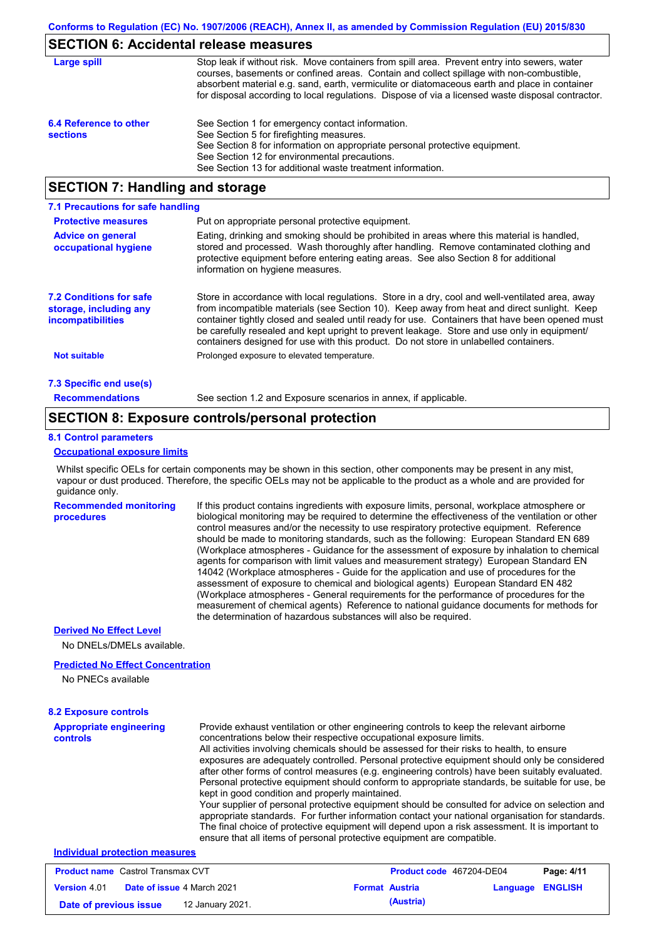## **SECTION 6: Accidental release measures**

| Large spill                               | Stop leak if without risk. Move containers from spill area. Prevent entry into sewers, water<br>courses, basements or confined areas. Contain and collect spillage with non-combustible,<br>absorbent material e.g. sand, earth, vermiculite or diatomaceous earth and place in container<br>for disposal according to local regulations. Dispose of via a licensed waste disposal contractor. |
|-------------------------------------------|------------------------------------------------------------------------------------------------------------------------------------------------------------------------------------------------------------------------------------------------------------------------------------------------------------------------------------------------------------------------------------------------|
| 6.4 Reference to other<br><b>sections</b> | See Section 1 for emergency contact information.<br>See Section 5 for firefighting measures.<br>See Section 8 for information on appropriate personal protective equipment.<br>See Section 12 for environmental precautions.<br>See Section 13 for additional waste treatment information.                                                                                                     |

## **SECTION 7: Handling and storage**

| 7.1 Precautions for safe handling                                                    |                                                                                                                                                                                                                                                                                                                                                                                                                                                                                          |
|--------------------------------------------------------------------------------------|------------------------------------------------------------------------------------------------------------------------------------------------------------------------------------------------------------------------------------------------------------------------------------------------------------------------------------------------------------------------------------------------------------------------------------------------------------------------------------------|
| <b>Protective measures</b>                                                           | Put on appropriate personal protective equipment.                                                                                                                                                                                                                                                                                                                                                                                                                                        |
| <b>Advice on general</b><br>occupational hygiene                                     | Eating, drinking and smoking should be prohibited in areas where this material is handled,<br>stored and processed. Wash thoroughly after handling. Remove contaminated clothing and<br>protective equipment before entering eating areas. See also Section 8 for additional<br>information on hygiene measures.                                                                                                                                                                         |
| <b>7.2 Conditions for safe</b><br>storage, including any<br><b>incompatibilities</b> | Store in accordance with local regulations. Store in a dry, cool and well-ventilated area, away<br>from incompatible materials (see Section 10). Keep away from heat and direct sunlight. Keep<br>container tightly closed and sealed until ready for use. Containers that have been opened must<br>be carefully resealed and kept upright to prevent leakage. Store and use only in equipment/<br>containers designed for use with this product. Do not store in unlabelled containers. |
| <b>Not suitable</b>                                                                  | Prolonged exposure to elevated temperature.                                                                                                                                                                                                                                                                                                                                                                                                                                              |
| 7.3 Specific end use(s)                                                              |                                                                                                                                                                                                                                                                                                                                                                                                                                                                                          |
| <b>Recommendations</b>                                                               | See section 1.2 and Exposure scenarios in annex, if applicable.                                                                                                                                                                                                                                                                                                                                                                                                                          |

### **SECTION 8: Exposure controls/personal protection**

#### **8.1 Control parameters**

#### **Occupational exposure limits**

Whilst specific OELs for certain components may be shown in this section, other components may be present in any mist, vapour or dust produced. Therefore, the specific OELs may not be applicable to the product as a whole and are provided for guidance only.

**Recommended monitoring procedures** If this product contains ingredients with exposure limits, personal, workplace atmosphere or biological monitoring may be required to determine the effectiveness of the ventilation or other control measures and/or the necessity to use respiratory protective equipment. Reference should be made to monitoring standards, such as the following: European Standard EN 689 (Workplace atmospheres - Guidance for the assessment of exposure by inhalation to chemical agents for comparison with limit values and measurement strategy) European Standard EN 14042 (Workplace atmospheres - Guide for the application and use of procedures for the assessment of exposure to chemical and biological agents) European Standard EN 482 (Workplace atmospheres - General requirements for the performance of procedures for the measurement of chemical agents) Reference to national guidance documents for methods for the determination of hazardous substances will also be required.

#### **Derived No Effect Level**

No DNELs/DMELs available.

#### **Predicted No Effect Concentration**

No PNECs available

| <b>8.2 Exposure controls</b>               |                                                                                                                                                                                                                                                                                                                                                                                                                                                                                                                                                                                                                                                                                                                                                                                                                                                                                                                                                                                                         |
|--------------------------------------------|---------------------------------------------------------------------------------------------------------------------------------------------------------------------------------------------------------------------------------------------------------------------------------------------------------------------------------------------------------------------------------------------------------------------------------------------------------------------------------------------------------------------------------------------------------------------------------------------------------------------------------------------------------------------------------------------------------------------------------------------------------------------------------------------------------------------------------------------------------------------------------------------------------------------------------------------------------------------------------------------------------|
| <b>Appropriate engineering</b><br>controls | Provide exhaust ventilation or other engineering controls to keep the relevant airborne<br>concentrations below their respective occupational exposure limits.<br>All activities involving chemicals should be assessed for their risks to health, to ensure<br>exposures are adequately controlled. Personal protective equipment should only be considered<br>after other forms of control measures (e.g. engineering controls) have been suitably evaluated.<br>Personal protective equipment should conform to appropriate standards, be suitable for use, be<br>kept in good condition and properly maintained.<br>Your supplier of personal protective equipment should be consulted for advice on selection and<br>appropriate standards. For further information contact your national organisation for standards.<br>The final choice of protective equipment will depend upon a risk assessment. It is important to<br>ensure that all items of personal protective equipment are compatible. |
| <b>Individual protection measures</b>      |                                                                                                                                                                                                                                                                                                                                                                                                                                                                                                                                                                                                                                                                                                                                                                                                                                                                                                                                                                                                         |

| <b>Product name</b> Castrol Transmax CVT |  | <b>Product code</b> 467204-DE04   |  | Page: 4/11            |                  |  |
|------------------------------------------|--|-----------------------------------|--|-----------------------|------------------|--|
| <b>Version 4.01</b>                      |  | <b>Date of issue 4 March 2021</b> |  | <b>Format Austria</b> | Language ENGLISH |  |
| Date of previous issue                   |  | 12 January 2021.                  |  | (Austria)             |                  |  |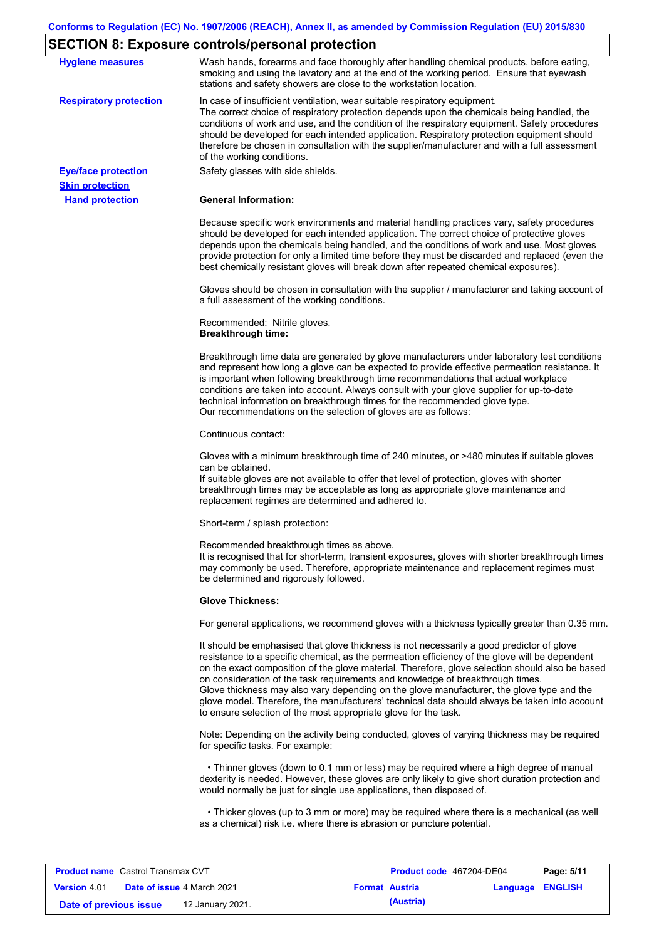# **SECTION 8: Exposure controls/personal protection**

| <b>Hygiene measures</b>                          | Wash hands, forearms and face thoroughly after handling chemical products, before eating,<br>smoking and using the lavatory and at the end of the working period. Ensure that eyewash<br>stations and safety showers are close to the workstation location.                                                                                                                                                                                                                                                                                                                                                                                       |
|--------------------------------------------------|---------------------------------------------------------------------------------------------------------------------------------------------------------------------------------------------------------------------------------------------------------------------------------------------------------------------------------------------------------------------------------------------------------------------------------------------------------------------------------------------------------------------------------------------------------------------------------------------------------------------------------------------------|
| <b>Respiratory protection</b>                    | In case of insufficient ventilation, wear suitable respiratory equipment.<br>The correct choice of respiratory protection depends upon the chemicals being handled, the<br>conditions of work and use, and the condition of the respiratory equipment. Safety procedures<br>should be developed for each intended application. Respiratory protection equipment should<br>therefore be chosen in consultation with the supplier/manufacturer and with a full assessment<br>of the working conditions.                                                                                                                                             |
| <b>Eye/face protection</b>                       | Safety glasses with side shields.                                                                                                                                                                                                                                                                                                                                                                                                                                                                                                                                                                                                                 |
| <b>Skin protection</b><br><b>Hand protection</b> | <b>General Information:</b>                                                                                                                                                                                                                                                                                                                                                                                                                                                                                                                                                                                                                       |
|                                                  | Because specific work environments and material handling practices vary, safety procedures<br>should be developed for each intended application. The correct choice of protective gloves<br>depends upon the chemicals being handled, and the conditions of work and use. Most gloves<br>provide protection for only a limited time before they must be discarded and replaced (even the<br>best chemically resistant gloves will break down after repeated chemical exposures).                                                                                                                                                                  |
|                                                  | Gloves should be chosen in consultation with the supplier / manufacturer and taking account of<br>a full assessment of the working conditions.                                                                                                                                                                                                                                                                                                                                                                                                                                                                                                    |
|                                                  | Recommended: Nitrile gloves.<br><b>Breakthrough time:</b>                                                                                                                                                                                                                                                                                                                                                                                                                                                                                                                                                                                         |
|                                                  | Breakthrough time data are generated by glove manufacturers under laboratory test conditions<br>and represent how long a glove can be expected to provide effective permeation resistance. It<br>is important when following breakthrough time recommendations that actual workplace<br>conditions are taken into account. Always consult with your glove supplier for up-to-date<br>technical information on breakthrough times for the recommended glove type.<br>Our recommendations on the selection of gloves are as follows:                                                                                                                |
|                                                  | Continuous contact:                                                                                                                                                                                                                                                                                                                                                                                                                                                                                                                                                                                                                               |
|                                                  | Gloves with a minimum breakthrough time of 240 minutes, or >480 minutes if suitable gloves<br>can be obtained.<br>If suitable gloves are not available to offer that level of protection, gloves with shorter<br>breakthrough times may be acceptable as long as appropriate glove maintenance and<br>replacement regimes are determined and adhered to.                                                                                                                                                                                                                                                                                          |
|                                                  | Short-term / splash protection:                                                                                                                                                                                                                                                                                                                                                                                                                                                                                                                                                                                                                   |
|                                                  | Recommended breakthrough times as above.<br>It is recognised that for short-term, transient exposures, gloves with shorter breakthrough times<br>may commonly be used. Therefore, appropriate maintenance and replacement regimes must<br>be determined and rigorously followed.                                                                                                                                                                                                                                                                                                                                                                  |
|                                                  | <b>Glove Thickness:</b>                                                                                                                                                                                                                                                                                                                                                                                                                                                                                                                                                                                                                           |
|                                                  | For general applications, we recommend gloves with a thickness typically greater than 0.35 mm.                                                                                                                                                                                                                                                                                                                                                                                                                                                                                                                                                    |
|                                                  | It should be emphasised that glove thickness is not necessarily a good predictor of glove<br>resistance to a specific chemical, as the permeation efficiency of the glove will be dependent<br>on the exact composition of the glove material. Therefore, glove selection should also be based<br>on consideration of the task requirements and knowledge of breakthrough times.<br>Glove thickness may also vary depending on the glove manufacturer, the glove type and the<br>glove model. Therefore, the manufacturers' technical data should always be taken into account<br>to ensure selection of the most appropriate glove for the task. |
|                                                  | Note: Depending on the activity being conducted, gloves of varying thickness may be required<br>for specific tasks. For example:                                                                                                                                                                                                                                                                                                                                                                                                                                                                                                                  |
|                                                  | • Thinner gloves (down to 0.1 mm or less) may be required where a high degree of manual<br>dexterity is needed. However, these gloves are only likely to give short duration protection and<br>would normally be just for single use applications, then disposed of.                                                                                                                                                                                                                                                                                                                                                                              |
|                                                  | • Thicker gloves (up to 3 mm or more) may be required where there is a mechanical (as well<br>as a chemical) risk i.e. where there is abrasion or puncture potential.                                                                                                                                                                                                                                                                                                                                                                                                                                                                             |

| <b>Product name</b> Castrol Transmax CVT |  | <b>Product code</b> 467204-DE04   |  | Page: 5/11            |                         |  |
|------------------------------------------|--|-----------------------------------|--|-----------------------|-------------------------|--|
| <b>Version 4.01</b>                      |  | <b>Date of issue 4 March 2021</b> |  | <b>Format Austria</b> | <b>Language ENGLISH</b> |  |
| Date of previous issue                   |  | 12 January 2021.                  |  | (Austria)             |                         |  |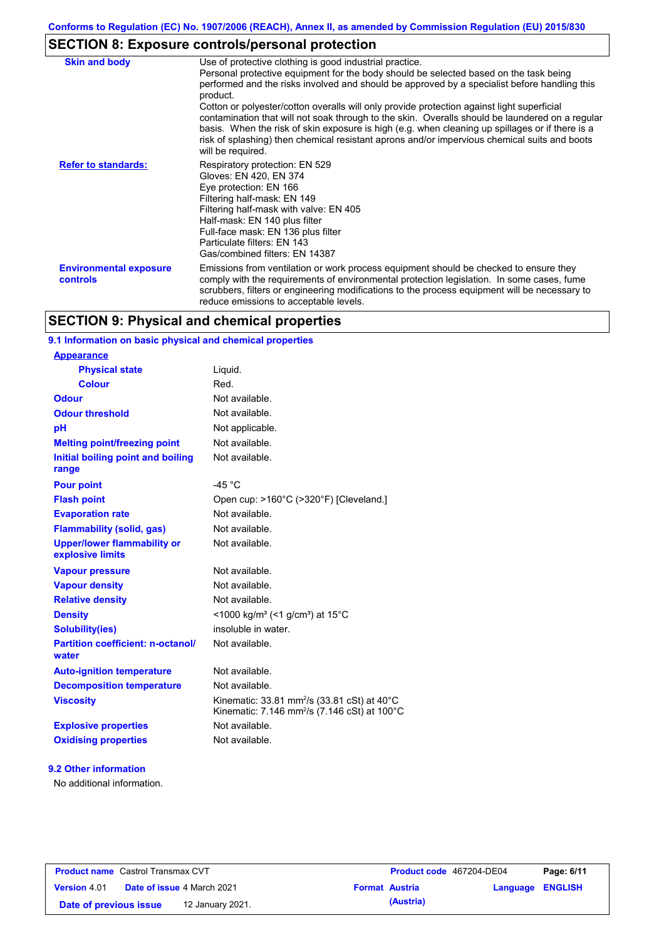# **SECTION 8: Exposure controls/personal protection**

| <b>Skin and body</b>                             | Use of protective clothing is good industrial practice.<br>Personal protective equipment for the body should be selected based on the task being<br>performed and the risks involved and should be approved by a specialist before handling this<br>product.<br>Cotton or polyester/cotton overalls will only provide protection against light superficial<br>contamination that will not soak through to the skin. Overalls should be laundered on a regular<br>basis. When the risk of skin exposure is high (e.g. when cleaning up spillages or if there is a<br>risk of splashing) then chemical resistant aprons and/or impervious chemical suits and boots<br>will be required. |
|--------------------------------------------------|---------------------------------------------------------------------------------------------------------------------------------------------------------------------------------------------------------------------------------------------------------------------------------------------------------------------------------------------------------------------------------------------------------------------------------------------------------------------------------------------------------------------------------------------------------------------------------------------------------------------------------------------------------------------------------------|
| <b>Refer to standards:</b>                       | Respiratory protection: EN 529<br>Gloves: EN 420, EN 374<br>Eye protection: EN 166<br>Filtering half-mask: EN 149<br>Filtering half-mask with valve: EN 405<br>Half-mask: EN 140 plus filter<br>Full-face mask: EN 136 plus filter<br>Particulate filters: EN 143<br>Gas/combined filters: EN 14387                                                                                                                                                                                                                                                                                                                                                                                   |
| <b>Environmental exposure</b><br><b>controls</b> | Emissions from ventilation or work process equipment should be checked to ensure they<br>comply with the requirements of environmental protection legislation. In some cases, fume<br>scrubbers, filters or engineering modifications to the process equipment will be necessary to<br>reduce emissions to acceptable levels.                                                                                                                                                                                                                                                                                                                                                         |

## **SECTION 9: Physical and chemical properties**

## **9.1 Information on basic physical and chemical properties**

| <u>Appearance</u>                                      |                                                                                                                                |
|--------------------------------------------------------|--------------------------------------------------------------------------------------------------------------------------------|
| <b>Physical state</b>                                  | Liquid.                                                                                                                        |
| <b>Colour</b>                                          | Red.                                                                                                                           |
| Odour                                                  | Not available.                                                                                                                 |
| <b>Odour threshold</b>                                 | Not available.                                                                                                                 |
| pH                                                     | Not applicable.                                                                                                                |
| <b>Melting point/freezing point</b>                    | Not available.                                                                                                                 |
| Initial boiling point and boiling<br>range             | Not available.                                                                                                                 |
| <b>Pour point</b>                                      | $-45 °C$                                                                                                                       |
| <b>Flash point</b>                                     | Open cup: >160°C (>320°F) [Cleveland.]                                                                                         |
| <b>Evaporation rate</b>                                | Not available.                                                                                                                 |
| <b>Flammability (solid, gas)</b>                       | Not available.                                                                                                                 |
| <b>Upper/lower flammability or</b><br>explosive limits | Not available.                                                                                                                 |
| <b>Vapour pressure</b>                                 | Not available.                                                                                                                 |
| <b>Vapour density</b>                                  | Not available.                                                                                                                 |
| <b>Relative density</b>                                | Not available.                                                                                                                 |
| <b>Density</b>                                         | <1000 kg/m <sup>3</sup> (<1 g/cm <sup>3</sup> ) at 15 <sup>°</sup> C                                                           |
| <b>Solubility(ies)</b>                                 | insoluble in water.                                                                                                            |
| <b>Partition coefficient: n-octanol/</b><br>water      | Not available.                                                                                                                 |
| <b>Auto-ignition temperature</b>                       | Not available.                                                                                                                 |
| <b>Decomposition temperature</b>                       | Not available.                                                                                                                 |
| <b>Viscosity</b>                                       | Kinematic: 33.81 mm <sup>2</sup> /s (33.81 cSt) at 40 $^{\circ}$ C<br>Kinematic: 7.146 mm <sup>2</sup> /s (7.146 cSt) at 100°C |
| <b>Explosive properties</b>                            | Not available.                                                                                                                 |
| <b>Oxidising properties</b>                            | Not available.                                                                                                                 |
|                                                        |                                                                                                                                |

#### **9.2 Other information**

**Appearance**

No additional information.

| <b>Product name</b> Castrol Transmax CVT |  | Product code 467204-DE04          |                       | Page: 6/11 |                  |  |
|------------------------------------------|--|-----------------------------------|-----------------------|------------|------------------|--|
| <b>Version 4.01</b>                      |  | <b>Date of issue 4 March 2021</b> | <b>Format Austria</b> |            | Language ENGLISH |  |
| Date of previous issue                   |  | 12 January 2021.                  |                       | (Austria)  |                  |  |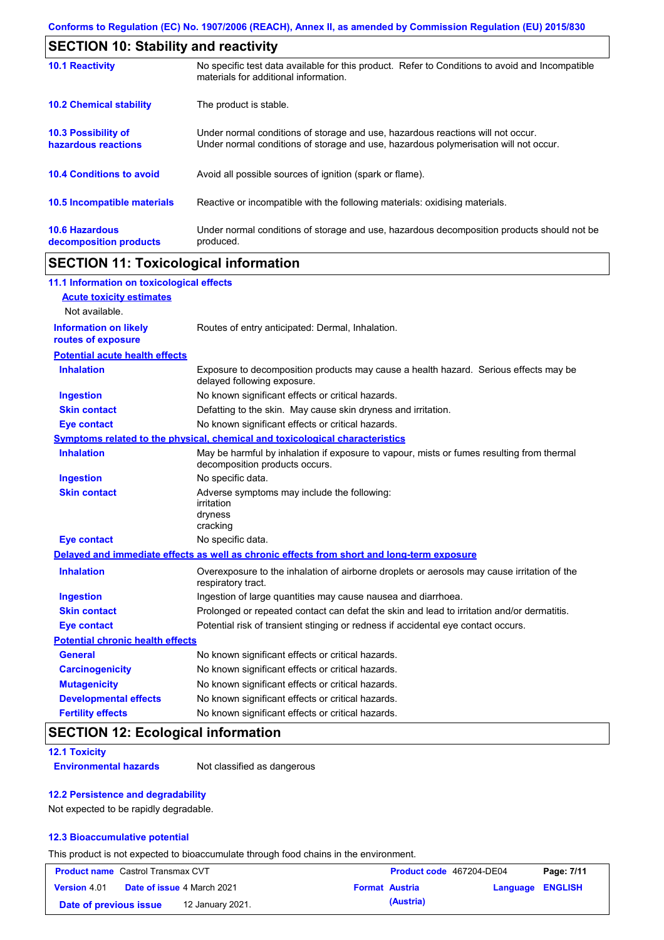| <b>SECTION 10: Stability and reactivity</b>       |                                                                                                                                                                         |  |  |
|---------------------------------------------------|-------------------------------------------------------------------------------------------------------------------------------------------------------------------------|--|--|
| <b>10.1 Reactivity</b>                            | No specific test data available for this product. Refer to Conditions to avoid and Incompatible<br>materials for additional information.                                |  |  |
| <b>10.2 Chemical stability</b>                    | The product is stable.                                                                                                                                                  |  |  |
| <b>10.3 Possibility of</b><br>hazardous reactions | Under normal conditions of storage and use, hazardous reactions will not occur.<br>Under normal conditions of storage and use, hazardous polymerisation will not occur. |  |  |
| <b>10.4 Conditions to avoid</b>                   | Avoid all possible sources of ignition (spark or flame).                                                                                                                |  |  |
| 10.5 Incompatible materials                       | Reactive or incompatible with the following materials: oxidising materials.                                                                                             |  |  |
| <b>10.6 Hazardous</b><br>decomposition products   | Under normal conditions of storage and use, hazardous decomposition products should not be<br>produced.                                                                 |  |  |

## **SECTION 11: Toxicological information**

| 11.1 Information on toxicological effects          |                                                                                                                             |
|----------------------------------------------------|-----------------------------------------------------------------------------------------------------------------------------|
| <b>Acute toxicity estimates</b>                    |                                                                                                                             |
| Not available.                                     |                                                                                                                             |
| <b>Information on likely</b><br>routes of exposure | Routes of entry anticipated: Dermal, Inhalation.                                                                            |
| <b>Potential acute health effects</b>              |                                                                                                                             |
| <b>Inhalation</b>                                  | Exposure to decomposition products may cause a health hazard. Serious effects may be<br>delayed following exposure.         |
| <b>Ingestion</b>                                   | No known significant effects or critical hazards.                                                                           |
| <b>Skin contact</b>                                | Defatting to the skin. May cause skin dryness and irritation.                                                               |
| <b>Eye contact</b>                                 | No known significant effects or critical hazards.                                                                           |
|                                                    | Symptoms related to the physical, chemical and toxicological characteristics                                                |
| <b>Inhalation</b>                                  | May be harmful by inhalation if exposure to vapour, mists or fumes resulting from thermal<br>decomposition products occurs. |
| <b>Ingestion</b>                                   | No specific data.                                                                                                           |
| <b>Skin contact</b>                                | Adverse symptoms may include the following:<br>irritation<br>dryness<br>cracking                                            |
| <b>Eye contact</b>                                 | No specific data.                                                                                                           |
|                                                    | Delayed and immediate effects as well as chronic effects from short and long-term exposure                                  |
| <b>Inhalation</b>                                  | Overexposure to the inhalation of airborne droplets or aerosols may cause irritation of the<br>respiratory tract.           |
| <b>Ingestion</b>                                   | Ingestion of large quantities may cause nausea and diarrhoea.                                                               |
| <b>Skin contact</b>                                | Prolonged or repeated contact can defat the skin and lead to irritation and/or dermatitis.                                  |
| <b>Eye contact</b>                                 | Potential risk of transient stinging or redness if accidental eye contact occurs.                                           |
| <b>Potential chronic health effects</b>            |                                                                                                                             |
| <b>General</b>                                     | No known significant effects or critical hazards.                                                                           |
| <b>Carcinogenicity</b>                             | No known significant effects or critical hazards.                                                                           |
| <b>Mutagenicity</b>                                | No known significant effects or critical hazards.                                                                           |
| <b>Developmental effects</b>                       | No known significant effects or critical hazards.                                                                           |
| <b>Fertility effects</b>                           | No known significant effects or critical hazards.                                                                           |

## **SECTION 12: Ecological information**

#### **12.1 Toxicity**

**Environmental hazards** Not classified as dangerous

#### **12.2 Persistence and degradability**

Not expected to be rapidly degradable.

#### **12.3 Bioaccumulative potential**

This product is not expected to bioaccumulate through food chains in the environment.

| <b>Product name</b> Castrol Transmax CVT |  | Product code 467204-DE04          |  | Page: 7/11            |                  |  |
|------------------------------------------|--|-----------------------------------|--|-----------------------|------------------|--|
| <b>Version 4.01</b>                      |  | <b>Date of issue 4 March 2021</b> |  | <b>Format Austria</b> | Language ENGLISH |  |
| Date of previous issue                   |  | 12 January 2021.                  |  | (Austria)             |                  |  |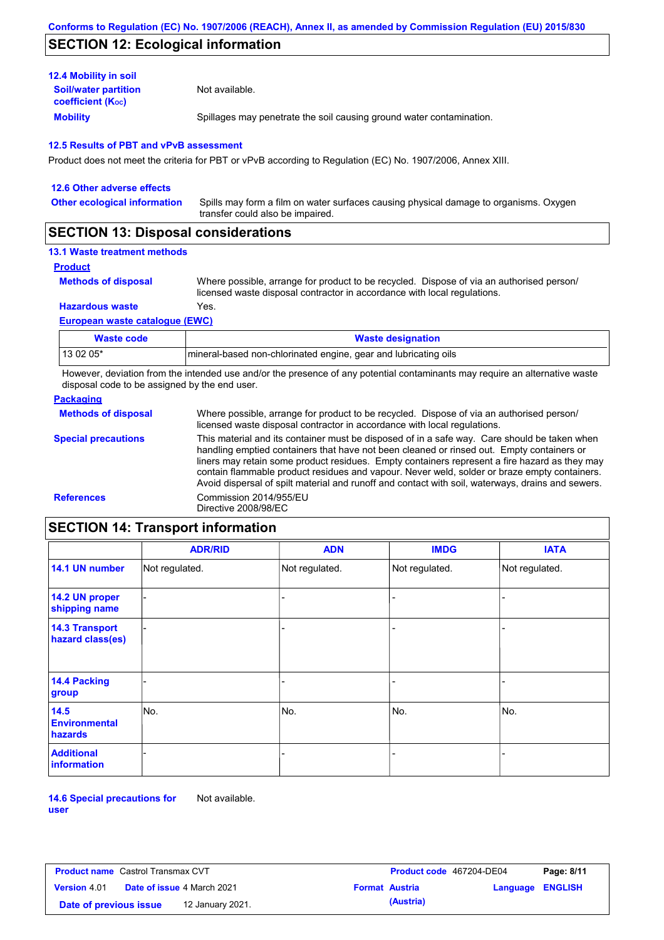## **SECTION 12: Ecological information**

| <b>12.4 Mobility in soil</b>                            |                                                                      |
|---------------------------------------------------------|----------------------------------------------------------------------|
| <b>Soil/water partition</b><br><b>coefficient (Koc)</b> | Not available.                                                       |
| <b>Mobility</b>                                         | Spillages may penetrate the soil causing ground water contamination. |

#### **12.5 Results of PBT and vPvB assessment**

Product does not meet the criteria for PBT or vPvB according to Regulation (EC) No. 1907/2006, Annex XIII.

| 12.6 Other adverse effects          |                                                                                                                           |
|-------------------------------------|---------------------------------------------------------------------------------------------------------------------------|
| <b>Other ecological information</b> | Spills may form a film on water surfaces causing physical damage to organisms. Oxygen<br>transfer could also be impaired. |
|                                     |                                                                                                                           |

## **SECTION 13: Disposal considerations**

## **13.1 Waste treatment methods**

**Product**

```
Methods of disposal
```
Where possible, arrange for product to be recycled. Dispose of via an authorised person/ licensed waste disposal contractor in accordance with local regulations.

**Hazardous waste** Yes.

#### **European waste catalogue (EWC)**

| Waste code | <b>Waste designation</b>                                         |
|------------|------------------------------------------------------------------|
| 13 02 05*  | Imineral-based non-chlorinated engine, gear and lubricating oils |

However, deviation from the intended use and/or the presence of any potential contaminants may require an alternative waste disposal code to be assigned by the end user.

#### **Packaging**

| <b>Methods of disposal</b> | Where possible, arrange for product to be recycled. Dispose of via an authorised person/<br>licensed waste disposal contractor in accordance with local regulations.                                                                                                                                                                                                                                                                                                                            |
|----------------------------|-------------------------------------------------------------------------------------------------------------------------------------------------------------------------------------------------------------------------------------------------------------------------------------------------------------------------------------------------------------------------------------------------------------------------------------------------------------------------------------------------|
| <b>Special precautions</b> | This material and its container must be disposed of in a safe way. Care should be taken when<br>handling emptied containers that have not been cleaned or rinsed out. Empty containers or<br>liners may retain some product residues. Empty containers represent a fire hazard as they may<br>contain flammable product residues and vapour. Never weld, solder or braze empty containers.<br>Avoid dispersal of spilt material and runoff and contact with soil, waterways, drains and sewers. |
| <b>References</b>          | Commission 2014/955/EU<br>Directive 2008/98/EC                                                                                                                                                                                                                                                                                                                                                                                                                                                  |

# **SECTION 14: Transport information**

|                                           | <b>ADR/RID</b> | <b>ADN</b>     | <b>IMDG</b>    | <b>IATA</b>    |  |  |  |
|-------------------------------------------|----------------|----------------|----------------|----------------|--|--|--|
| 14.1 UN number                            | Not regulated. | Not regulated. | Not regulated. | Not regulated. |  |  |  |
| 14.2 UN proper<br>shipping name           |                |                |                |                |  |  |  |
| <b>14.3 Transport</b><br>hazard class(es) |                |                |                |                |  |  |  |
| 14.4 Packing<br>group                     |                |                | ۰              |                |  |  |  |
| 14.5<br><b>Environmental</b><br>hazards   | No.            | No.            | No.            | No.            |  |  |  |
| <b>Additional</b><br>information          |                |                | -              |                |  |  |  |

**14.6 Special precautions for user** Not available.

| <b>Product name</b> Castrol Transmax CVT |  |                                   | <b>Product code</b> 467204-DE04 | Page: 8/11            |                         |  |
|------------------------------------------|--|-----------------------------------|---------------------------------|-----------------------|-------------------------|--|
| <b>Version</b> 4.01                      |  | <b>Date of issue 4 March 2021</b> |                                 | <b>Format Austria</b> | <b>Language ENGLISH</b> |  |
| Date of previous issue                   |  | 12 January 2021.                  |                                 | (Austria)             |                         |  |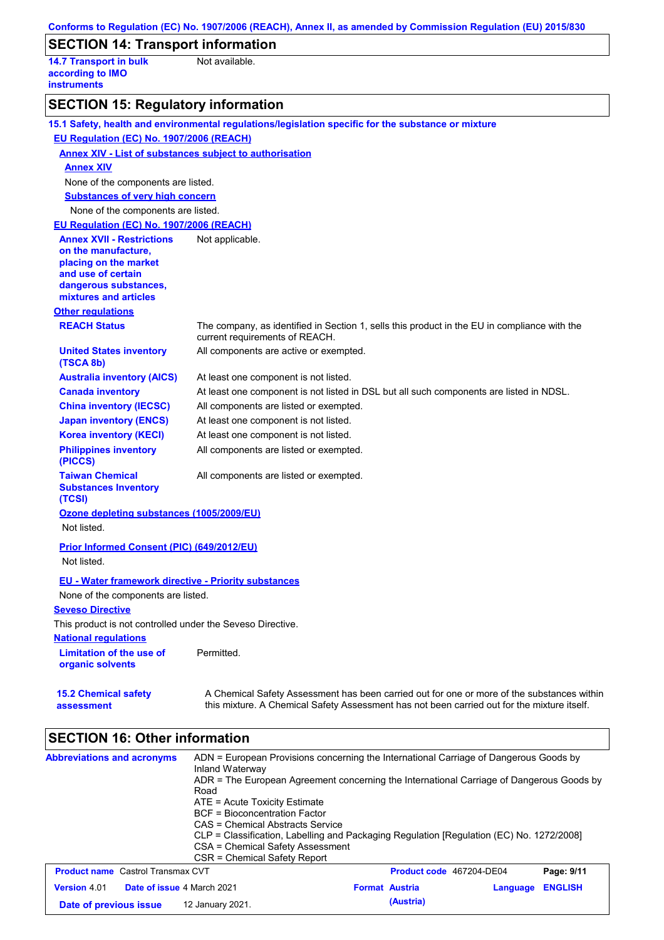| Conforms to Regulation (EC) No. 1907/2006 (REACH), Annex II, as amended by Commission Regulation (EU) 2015/830 |                                                                                                                                                                                           |  |  |  |
|----------------------------------------------------------------------------------------------------------------|-------------------------------------------------------------------------------------------------------------------------------------------------------------------------------------------|--|--|--|
| <b>SECTION 14: Transport information</b>                                                                       |                                                                                                                                                                                           |  |  |  |
| <b>14.7 Transport in bulk</b><br>according to IMO<br><b>instruments</b>                                        | Not available.                                                                                                                                                                            |  |  |  |
| <b>SECTION 15: Regulatory information</b>                                                                      |                                                                                                                                                                                           |  |  |  |
|                                                                                                                | 15.1 Safety, health and environmental regulations/legislation specific for the substance or mixture                                                                                       |  |  |  |
| EU Regulation (EC) No. 1907/2006 (REACH)                                                                       |                                                                                                                                                                                           |  |  |  |
| <b>Annex XIV - List of substances subject to authorisation</b>                                                 |                                                                                                                                                                                           |  |  |  |
| <b>Annex XIV</b>                                                                                               |                                                                                                                                                                                           |  |  |  |
| None of the components are listed.                                                                             |                                                                                                                                                                                           |  |  |  |
| <b>Substances of very high concern</b>                                                                         |                                                                                                                                                                                           |  |  |  |
| None of the components are listed.                                                                             |                                                                                                                                                                                           |  |  |  |
| EU Regulation (EC) No. 1907/2006 (REACH)                                                                       |                                                                                                                                                                                           |  |  |  |
| <b>Annex XVII - Restrictions</b><br>on the manufacture,                                                        | Not applicable.                                                                                                                                                                           |  |  |  |
| placing on the market                                                                                          |                                                                                                                                                                                           |  |  |  |
| and use of certain                                                                                             |                                                                                                                                                                                           |  |  |  |
| dangerous substances,<br>mixtures and articles                                                                 |                                                                                                                                                                                           |  |  |  |
| <b>Other regulations</b>                                                                                       |                                                                                                                                                                                           |  |  |  |
| <b>REACH Status</b>                                                                                            | The company, as identified in Section 1, sells this product in the EU in compliance with the<br>current requirements of REACH.                                                            |  |  |  |
| <b>United States inventory</b><br>(TSCA 8b)                                                                    | All components are active or exempted.                                                                                                                                                    |  |  |  |
| <b>Australia inventory (AICS)</b>                                                                              | At least one component is not listed.                                                                                                                                                     |  |  |  |
| <b>Canada inventory</b>                                                                                        | At least one component is not listed in DSL but all such components are listed in NDSL.                                                                                                   |  |  |  |
| <b>China inventory (IECSC)</b>                                                                                 | All components are listed or exempted.                                                                                                                                                    |  |  |  |
| <b>Japan inventory (ENCS)</b>                                                                                  | At least one component is not listed.                                                                                                                                                     |  |  |  |
| <b>Korea inventory (KECI)</b>                                                                                  | At least one component is not listed.                                                                                                                                                     |  |  |  |
| <b>Philippines inventory</b><br>(PICCS)                                                                        | All components are listed or exempted.                                                                                                                                                    |  |  |  |
| <b>Taiwan Chemical</b><br><b>Substances Inventory</b>                                                          | All components are listed or exempted.                                                                                                                                                    |  |  |  |
| (TCSI)<br>Ozone depleting substances (1005/2009/EU)                                                            |                                                                                                                                                                                           |  |  |  |
| Not listed.                                                                                                    |                                                                                                                                                                                           |  |  |  |
|                                                                                                                |                                                                                                                                                                                           |  |  |  |
| Prior Informed Consent (PIC) (649/2012/EU)                                                                     |                                                                                                                                                                                           |  |  |  |
| Not listed.                                                                                                    |                                                                                                                                                                                           |  |  |  |
| <b>EU - Water framework directive - Priority substances</b>                                                    |                                                                                                                                                                                           |  |  |  |
| None of the components are listed.                                                                             |                                                                                                                                                                                           |  |  |  |
| <b>Seveso Directive</b>                                                                                        |                                                                                                                                                                                           |  |  |  |
| This product is not controlled under the Seveso Directive.                                                     |                                                                                                                                                                                           |  |  |  |
| <b>National regulations</b>                                                                                    |                                                                                                                                                                                           |  |  |  |
| <b>Limitation of the use of</b><br>organic solvents                                                            | Permitted.                                                                                                                                                                                |  |  |  |
| <b>15.2 Chemical safety</b><br>assessment                                                                      | A Chemical Safety Assessment has been carried out for one or more of the substances within<br>this mixture. A Chemical Safety Assessment has not been carried out for the mixture itself. |  |  |  |

# **SECTION 16: Other information**

| <b>Abbreviations and acronyms</b>                 | ADN = European Provisions concerning the International Carriage of Dangerous Goods by<br>Inland Waterway<br>ADR = The European Agreement concerning the International Carriage of Dangerous Goods by<br>Road<br>ATE = Acute Toxicity Estimate<br>BCF = Bioconcentration Factor<br>CAS = Chemical Abstracts Service<br>CLP = Classification, Labelling and Packaging Regulation [Regulation (EC) No. 1272/2008]<br>CSA = Chemical Safety Assessment<br>CSR = Chemical Safety Report |                          |          |                |
|---------------------------------------------------|------------------------------------------------------------------------------------------------------------------------------------------------------------------------------------------------------------------------------------------------------------------------------------------------------------------------------------------------------------------------------------------------------------------------------------------------------------------------------------|--------------------------|----------|----------------|
| <b>Product name</b> Castrol Transmax CVT          |                                                                                                                                                                                                                                                                                                                                                                                                                                                                                    | Product code 467204-DE04 |          | Page: 9/11     |
| Date of issue 4 March 2021<br><b>Version 4.01</b> |                                                                                                                                                                                                                                                                                                                                                                                                                                                                                    | <b>Format Austria</b>    | Language | <b>ENGLISH</b> |
| Date of previous issue                            | 12 January 2021.                                                                                                                                                                                                                                                                                                                                                                                                                                                                   | (Austria)                |          |                |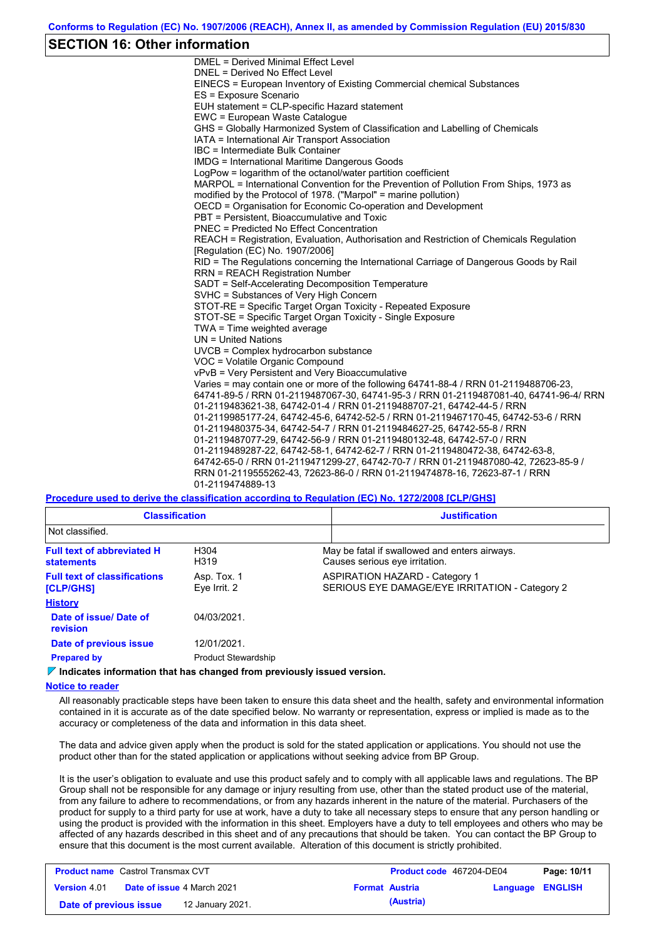## **SECTION 16: Other information**

DMEL = Derived Minimal Effect Level DNEL = Derived No Effect Level EINECS = European Inventory of Existing Commercial chemical Substances ES = Exposure Scenario EUH statement = CLP-specific Hazard statement EWC = European Waste Catalogue GHS = Globally Harmonized System of Classification and Labelling of Chemicals IATA = International Air Transport Association IBC = Intermediate Bulk Container IMDG = International Maritime Dangerous Goods LogPow = logarithm of the octanol/water partition coefficient MARPOL = International Convention for the Prevention of Pollution From Ships, 1973 as modified by the Protocol of 1978. ("Marpol" = marine pollution) OECD = Organisation for Economic Co-operation and Development PBT = Persistent, Bioaccumulative and Toxic PNEC = Predicted No Effect Concentration REACH = Registration, Evaluation, Authorisation and Restriction of Chemicals Regulation [Regulation (EC) No. 1907/2006] RID = The Regulations concerning the International Carriage of Dangerous Goods by Rail RRN = REACH Registration Number SADT = Self-Accelerating Decomposition Temperature SVHC = Substances of Very High Concern STOT-RE = Specific Target Organ Toxicity - Repeated Exposure STOT-SE = Specific Target Organ Toxicity - Single Exposure TWA = Time weighted average UN = United Nations UVCB = Complex hydrocarbon substance VOC = Volatile Organic Compound vPvB = Very Persistent and Very Bioaccumulative Varies = may contain one or more of the following 64741-88-4 / RRN 01-2119488706-23, 64741-89-5 / RRN 01-2119487067-30, 64741-95-3 / RRN 01-2119487081-40, 64741-96-4/ RRN 01-2119483621-38, 64742-01-4 / RRN 01-2119488707-21, 64742-44-5 / RRN 01-2119985177-24, 64742-45-6, 64742-52-5 / RRN 01-2119467170-45, 64742-53-6 / RRN 01-2119480375-34, 64742-54-7 / RRN 01-2119484627-25, 64742-55-8 / RRN 01-2119487077-29, 64742-56-9 / RRN 01-2119480132-48, 64742-57-0 / RRN 01-2119489287-22, 64742-58-1, 64742-62-7 / RRN 01-2119480472-38, 64742-63-8, 64742-65-0 / RRN 01-2119471299-27, 64742-70-7 / RRN 01-2119487080-42, 72623-85-9 / RRN 01-2119555262-43, 72623-86-0 / RRN 01-2119474878-16, 72623-87-1 / RRN 01-2119474889-13

**Procedure used to derive the classification according to Regulation (EC) No. 1272/2008 [CLP/GHS]**

| <b>Classification</b>                                   |                             | <b>Justification</b>                                                                    |  |  |  |  |
|---------------------------------------------------------|-----------------------------|-----------------------------------------------------------------------------------------|--|--|--|--|
| Not classified.                                         |                             |                                                                                         |  |  |  |  |
| <b>Full text of abbreviated H</b><br><b>statements</b>  | H304<br>H319                | May be fatal if swallowed and enters airways.<br>Causes serious eye irritation.         |  |  |  |  |
| <b>Full text of classifications</b><br><b>[CLP/GHS]</b> | Asp. Tox. 1<br>Eye Irrit. 2 | <b>ASPIRATION HAZARD - Category 1</b><br>SERIOUS EYE DAMAGE/EYE IRRITATION - Category 2 |  |  |  |  |
| <b>History</b>                                          |                             |                                                                                         |  |  |  |  |
| Date of issue/Date of<br><b>revision</b>                | 04/03/2021                  |                                                                                         |  |  |  |  |
| Date of previous issue                                  | 12/01/2021.                 |                                                                                         |  |  |  |  |
| <b>Prepared by</b>                                      | Product Stewardship         |                                                                                         |  |  |  |  |

**Indicates information that has changed from previously issued version.**

**Notice to reader**

All reasonably practicable steps have been taken to ensure this data sheet and the health, safety and environmental information contained in it is accurate as of the date specified below. No warranty or representation, express or implied is made as to the accuracy or completeness of the data and information in this data sheet.

The data and advice given apply when the product is sold for the stated application or applications. You should not use the product other than for the stated application or applications without seeking advice from BP Group.

It is the user's obligation to evaluate and use this product safely and to comply with all applicable laws and regulations. The BP Group shall not be responsible for any damage or injury resulting from use, other than the stated product use of the material, from any failure to adhere to recommendations, or from any hazards inherent in the nature of the material. Purchasers of the product for supply to a third party for use at work, have a duty to take all necessary steps to ensure that any person handling or using the product is provided with the information in this sheet. Employers have a duty to tell employees and others who may be affected of any hazards described in this sheet and of any precautions that should be taken. You can contact the BP Group to ensure that this document is the most current available. Alteration of this document is strictly prohibited.

| <b>Product name</b> Castrol Transmax CVT |  | <b>Product code</b> 467204-DE04   |  | Page: 10/11           |                         |  |
|------------------------------------------|--|-----------------------------------|--|-----------------------|-------------------------|--|
| <b>Version 4.01</b>                      |  | <b>Date of issue 4 March 2021</b> |  | <b>Format Austria</b> | <b>Language ENGLISH</b> |  |
| Date of previous issue                   |  | 12 January 2021.                  |  | (Austria)             |                         |  |